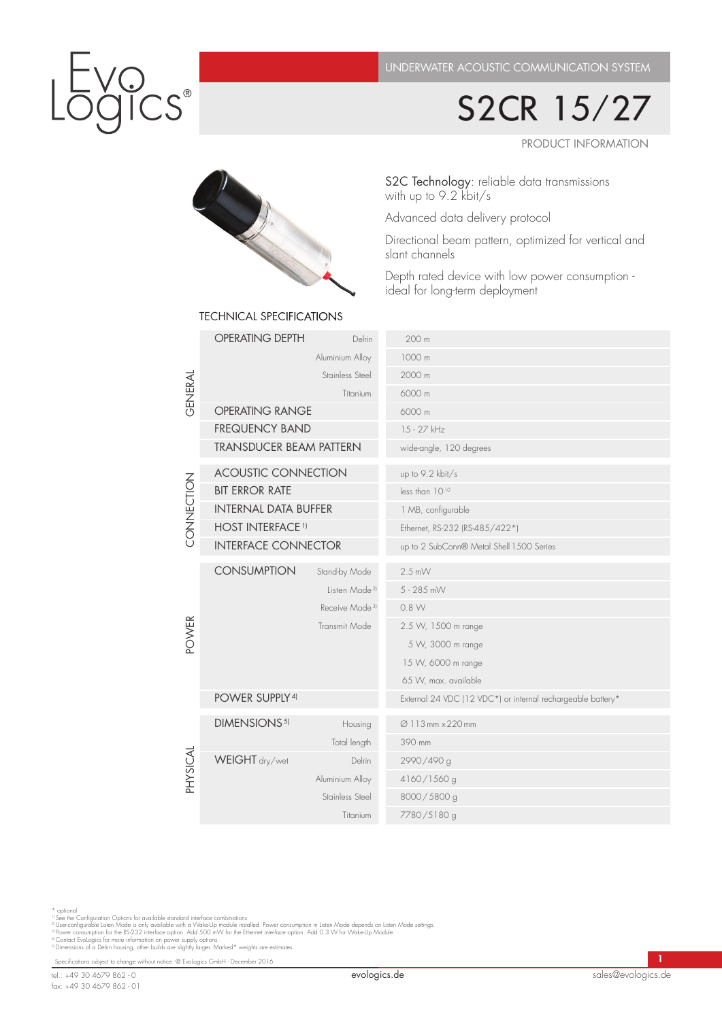S2CR 15/27

PRODUCT INFORMATION



# S2C Technology: reliable data transmissions with up to 9.2 kbit/s

Advanced data delivery protocol

Directional beam pattern, optimized for vertical and slant channels

Depth rated device with low power consumption ideal for long-term deployment

| GENERAL                  | <b>OPERATING DEPTH</b>             | Delrin                     | 200 m                                                       |
|--------------------------|------------------------------------|----------------------------|-------------------------------------------------------------|
|                          | Aluminium Alloy<br>Stainless Steel |                            | 1000 m                                                      |
|                          |                                    |                            | 2000 m                                                      |
|                          | Titanium                           |                            | 6000 m                                                      |
|                          | <b>OPERATING RANGE</b>             |                            | 6000 m                                                      |
|                          | <b>FREQUENCY BAND</b>              |                            | 15 - 27 kHz                                                 |
|                          | <b>TRANSDUCER BEAM PATTERN</b>     |                            | wide-angle, 120 degrees                                     |
| CONNECTION               | <b>ACOUSTIC CONNECTION</b>         |                            | up to 9.2 kbit/s                                            |
|                          | <b>BIT ERROR RATE</b>              |                            | less than 1010                                              |
|                          | <b>INTERNAL DATA BUFFER</b>        |                            | 1 MB, configurable                                          |
|                          | <b>HOST INTERFACE 1)</b>           |                            | Ethernet, RS-232 (RS-485/422*)                              |
|                          | <b>INTERFACE CONNECTOR</b>         |                            | up to 2 SubConn® Metal Shell 1500 Series                    |
|                          | <b>CONSUMPTION</b>                 | Stand-by Mode              | $2.5$ mW                                                    |
|                          |                                    | Listen Mode <sup>21</sup>  | 5 - 285 mW                                                  |
|                          |                                    | Receive Mode <sup>3)</sup> | 0.8 W                                                       |
|                          | Transmit Mode                      |                            | 2.5 W, 1500 m range                                         |
| <b>POWER</b><br>PHYSICAL |                                    |                            | 5 W, 3000 m range                                           |
|                          |                                    |                            | 15 W, 6000 m range                                          |
|                          |                                    |                            | 65 W, max. available                                        |
|                          | POWER SUPPLY <sup>4)</sup>         |                            | External 24 VDC (12 VDC*) or internal rechargeable battery* |
|                          | DIMENSIONS <sup>5)</sup>           | Housing                    | Ø 113 mm × 220 mm                                           |
|                          |                                    | Total length               | 390 mm                                                      |
|                          | WEIGHT dry/wet                     | <b>Delrin</b>              | 2990/490 g                                                  |
|                          |                                    | Aluminium Alloy            | 4160/1560 g                                                 |
|                          | Stainless Steel                    |                            | 8000/5800 g                                                 |
|                          |                                    | Titanium                   | 7780/5180 g                                                 |
|                          |                                    |                            |                                                             |

TECHNICAL SPECIFICATIONS

\* optional<br>"See the Configuration Options for available standard interface combinations.<br>"I Userconfigurable Listen Mode is only available with a Wake-Up module installed. Power consumption in Listen Mode depends on Listen

Specifications subject to change without notice. © EvoLogics GmbH - December 2016